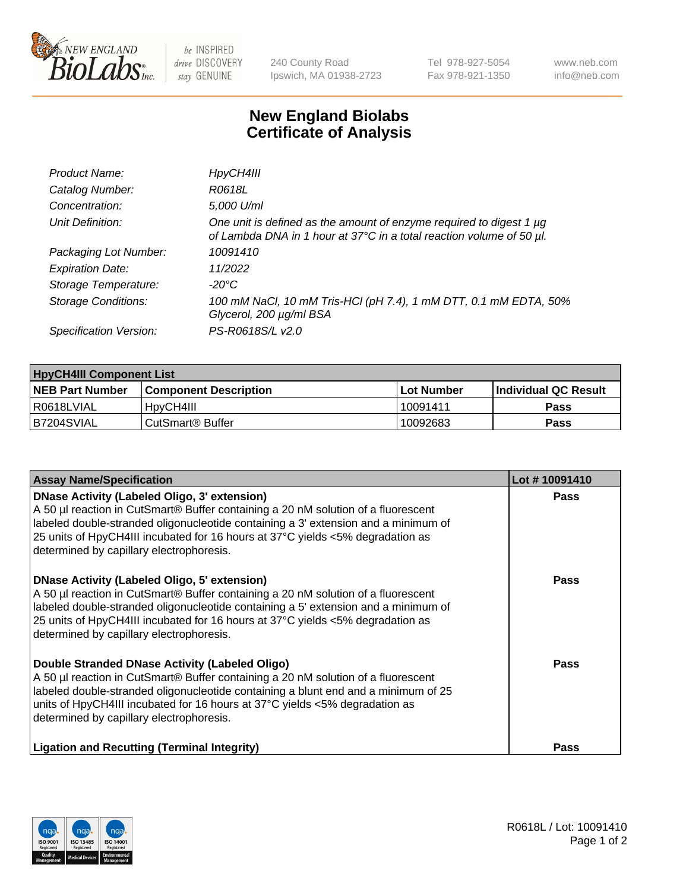

 $be$  INSPIRED drive DISCOVERY stay GENUINE

240 County Road Ipswich, MA 01938-2723 Tel 978-927-5054 Fax 978-921-1350 www.neb.com info@neb.com

## **New England Biolabs Certificate of Analysis**

| Product Name:              | HpyCH4III                                                                                                                                        |
|----------------------------|--------------------------------------------------------------------------------------------------------------------------------------------------|
| Catalog Number:            | R0618L                                                                                                                                           |
| Concentration:             | 5,000 U/ml                                                                                                                                       |
| Unit Definition:           | One unit is defined as the amount of enzyme required to digest 1 $\mu$ g<br>of Lambda DNA in 1 hour at 37°C in a total reaction volume of 50 µl. |
| Packaging Lot Number:      | 10091410                                                                                                                                         |
| <b>Expiration Date:</b>    | 11/2022                                                                                                                                          |
| Storage Temperature:       | -20°C                                                                                                                                            |
| <b>Storage Conditions:</b> | 100 mM NaCl, 10 mM Tris-HCl (pH 7.4), 1 mM DTT, 0.1 mM EDTA, 50%<br>Glycerol, 200 µg/ml BSA                                                      |
| Specification Version:     | PS-R0618S/L v2.0                                                                                                                                 |

| <b>HpyCH4III Component List</b> |                              |              |                             |  |  |
|---------------------------------|------------------------------|--------------|-----------------------------|--|--|
| <b>NEB Part Number</b>          | <b>Component Description</b> | l Lot Number | <b>Individual QC Result</b> |  |  |
| I R0618LVIAL                    | 'HpyCH4III                   | 10091411     | <b>Pass</b>                 |  |  |
| B7204SVIAL                      | CutSmart <sup>®</sup> Buffer | 10092683     | Pass                        |  |  |

| <b>Assay Name/Specification</b>                                                                                                                                                                                                                                                                                                                       | Lot #10091410 |
|-------------------------------------------------------------------------------------------------------------------------------------------------------------------------------------------------------------------------------------------------------------------------------------------------------------------------------------------------------|---------------|
| DNase Activity (Labeled Oligo, 3' extension)<br>A 50 µl reaction in CutSmart® Buffer containing a 20 nM solution of a fluorescent<br>labeled double-stranded oligonucleotide containing a 3' extension and a minimum of<br>25 units of HpyCH4III incubated for 16 hours at 37°C yields <5% degradation as<br>determined by capillary electrophoresis. | <b>Pass</b>   |
| DNase Activity (Labeled Oligo, 5' extension)<br>A 50 µl reaction in CutSmart® Buffer containing a 20 nM solution of a fluorescent<br>labeled double-stranded oligonucleotide containing a 5' extension and a minimum of<br>25 units of HpyCH4III incubated for 16 hours at 37°C yields <5% degradation as<br>determined by capillary electrophoresis. | <b>Pass</b>   |
| Double Stranded DNase Activity (Labeled Oligo)<br>A 50 µl reaction in CutSmart® Buffer containing a 20 nM solution of a fluorescent<br>Iabeled double-stranded oligonucleotide containing a blunt end and a minimum of 25<br>units of HpyCH4III incubated for 16 hours at 37°C yields <5% degradation as<br>determined by capillary electrophoresis.  | <b>Pass</b>   |
| <b>Ligation and Recutting (Terminal Integrity)</b>                                                                                                                                                                                                                                                                                                    | Pass          |